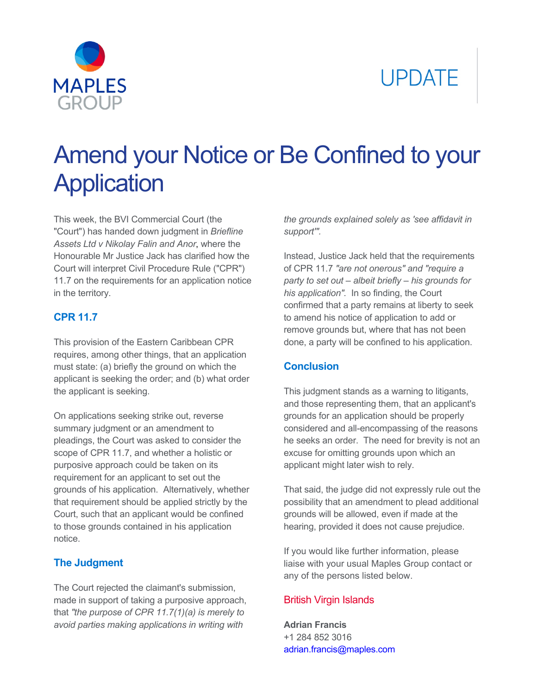# **UPDATE**



## Amend your Notice or Be Confined to your **Application**

This week, the BVI Commercial Court (the "Court") has handed down judgment in *Briefline Assets Ltd v Nikolay Falin and Anor*, where the Honourable Mr Justice Jack has clarified how the Court will interpret Civil Procedure Rule ("CPR") 11.7 on the requirements for an application notice in the territory.

#### **CPR 11.7**

This provision of the Eastern Caribbean CPR requires, among other things, that an application must state: (a) briefly the ground on which the applicant is seeking the order; and (b) what order the applicant is seeking.

On applications seeking strike out, reverse summary judgment or an amendment to pleadings, the Court was asked to consider the scope of CPR 11.7, and whether a holistic or purposive approach could be taken on its requirement for an applicant to set out the grounds of his application. Alternatively, whether that requirement should be applied strictly by the Court, such that an applicant would be confined to those grounds contained in his application notice.

#### **The Judgment**

The Court rejected the claimant's submission, made in support of taking a purposive approach, that *"the purpose of CPR 11.7(1)(a) is merely to avoid parties making applications in writing with* 

*the grounds explained solely as 'see affidavit in support'".*

Instead, Justice Jack held that the requirements of CPR 11.7 *"are not onerous" and "require a party to set out – albeit briefly – his grounds for his application".* In so finding, the Court confirmed that a party remains at liberty to seek to amend his notice of application to add or remove grounds but, where that has not been done, a party will be confined to his application.

#### **Conclusion**

This judgment stands as a warning to litigants, and those representing them, that an applicant's grounds for an application should be properly considered and all-encompassing of the reasons he seeks an order. The need for brevity is not an excuse for omitting grounds upon which an applicant might later wish to rely.

That said, the judge did not expressly rule out the possibility that an amendment to plead additional grounds will be allowed, even if made at the hearing, provided it does not cause prejudice.

If you would like further information, please liaise with your usual Maples Group contact or any of the persons listed below.

#### [British Virgin Islands](mailto:adrian.francis@maples.com)

**Adrian Francis**  +1 284 852 3016 adrian.francis@maples.com